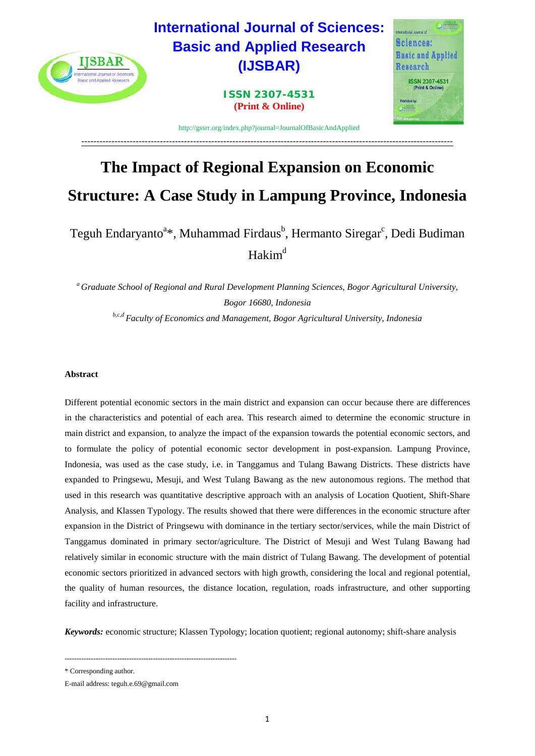

# **The Impact of Regional Expansion on Economic Structure: A Case Study in Lampung Province, Indonesia**

Teguh Endaryanto<sup>a\*</sup>, Muhammad Firdaus<sup>b</sup>, Hermanto Siregar<sup>c</sup>, Dedi Budiman  $Hakim<sup>d</sup>$ 

*<sup>a</sup> Graduate School of Regional and Rural Development Planning Sciences, Bogor Agricultural University, Bogor 16680, Indonesia b,c,d Faculty of Economics and Management, Bogor Agricultural University, Indonesia*

# **Abstract**

Different potential economic sectors in the main district and expansion can occur because there are differences in the characteristics and potential of each area. This research aimed to determine the economic structure in main district and expansion, to analyze the impact of the expansion towards the potential economic sectors, and to formulate the policy of potential economic sector development in post-expansion. Lampung Province, Indonesia, was used as the case study, i.e. in Tanggamus and Tulang Bawang Districts. These districts have expanded to Pringsewu, Mesuji, and West Tulang Bawang as the new autonomous regions. The method that used in this research was quantitative descriptive approach with an analysis of Location Quotient, Shift-Share Analysis, and Klassen Typology. The results showed that there were differences in the economic structure after expansion in the District of Pringsewu with dominance in the tertiary sector/services, while the main District of Tanggamus dominated in primary sector/agriculture. The District of Mesuji and West Tulang Bawang had relatively similar in economic structure with the main district of Tulang Bawang. The development of potential economic sectors prioritized in advanced sectors with high growth, considering the local and regional potential, the quality of human resources, the distance location, regulation, roads infrastructure, and other supporting facility and infrastructure.

*Keywords:* economic structure; Klassen Typology; location quotient; regional autonomy; shift-share analysis

\* Corresponding author.

------------------------------------------------------------------------

E-mail address: [teguh.e.69@gmail.com](mailto:teguh.e.69@gmail.com)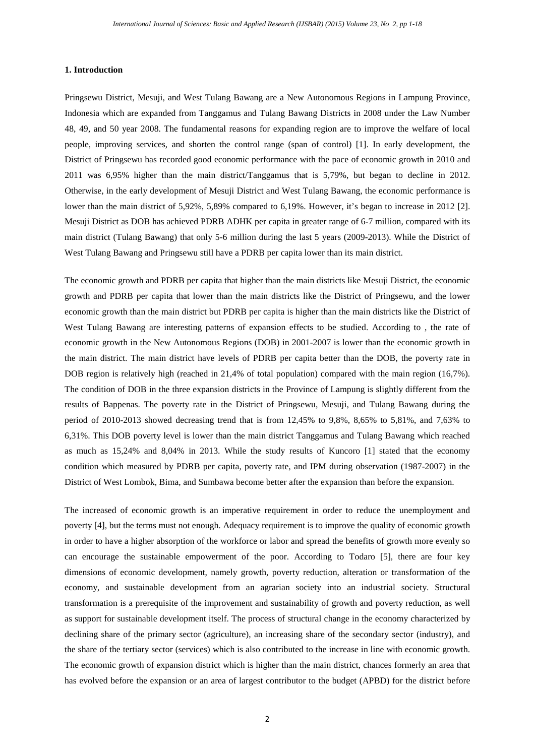#### **1. Introduction**

Pringsewu District, Mesuji, and West Tulang Bawang are a New Autonomous Regions in Lampung Province, Indonesia which are expanded from Tanggamus and Tulang Bawang Districts in 2008 under the Law Number 48, 49, and 50 year 2008. The fundamental reasons for expanding region are to improve the welfare of local people, improving services, and shorten the control range (span of control) [\[1\]](#page-15-0). In early development, the District of Pringsewu has recorded good economic performance with the pace of economic growth in 2010 and 2011 was 6,95% higher than the main district/Tanggamus that is 5,79%, but began to decline in 2012. Otherwise, in the early development of Mesuji District and West Tulang Bawang, the economic performance is lower than the main district of 5,92%, 5,89% compared to 6,19%. However, it's began to increase in 2012 [\[2\]](#page-15-1). Mesuji District as DOB has achieved PDRB ADHK per capita in greater range of 6-7 million, compared with its main district (Tulang Bawang) that only 5-6 million during the last 5 years (2009-2013). While the District of West Tulang Bawang and Pringsewu still have a PDRB per capita lower than its main district.

The economic growth and PDRB per capita that higher than the main districts like Mesuji District, the economic growth and PDRB per capita that lower than the main districts like the District of Pringsewu, and the lower economic growth than the main district but PDRB per capita is higher than the main districts like the District of West Tulang Bawang are interesting patterns of expansion effects to be studied. According to , the rate of economic growth in the New Autonomous Regions (DOB) in 2001-2007 is lower than the economic growth in the main district. The main district have levels of PDRB per capita better than the DOB, the poverty rate in DOB region is relatively high (reached in 21,4% of total population) compared with the main region (16,7%). The condition of DOB in the three expansion districts in the Province of Lampung is slightly different from the results of Bappenas. The poverty rate in the District of Pringsewu, Mesuji, and Tulang Bawang during the period of 2010-2013 showed decreasing trend that is from 12,45% to 9,8%, 8,65% to 5,81%, and 7,63% to 6,31%. This DOB poverty level is lower than the main district Tanggamus and Tulang Bawang which reached as much as 15,24% and 8,04% in 2013. While the study results of [Kuncoro \[1\]](#page-15-0) stated that the economy condition which measured by PDRB per capita, poverty rate, and IPM during observation (1987-2007) in the District of West Lombok, Bima, and Sumbawa become better after the expansion than before the expansion.

The increased of economic growth is an imperative requirement in order to reduce the unemployment and poverty [\[4\]](#page-15-2), but the terms must not enough. Adequacy requirement is to improve the quality of economic growth in order to have a higher absorption of the workforce or labor and spread the benefits of growth more evenly so can encourage the sustainable empowerment of the poor. According to [Todaro \[5\],](#page-15-3) there are four key dimensions of economic development, namely growth, poverty reduction, alteration or transformation of the economy, and sustainable development from an agrarian society into an industrial society. Structural transformation is a prerequisite of the improvement and sustainability of growth and poverty reduction, as well as support for sustainable development itself. The process of structural change in the economy characterized by declining share of the primary sector (agriculture), an increasing share of the secondary sector (industry), and the share of the tertiary sector (services) which is also contributed to the increase in line with economic growth. The economic growth of expansion district which is higher than the main district, chances formerly an area that has evolved before the expansion or an area of largest contributor to the budget (APBD) for the district before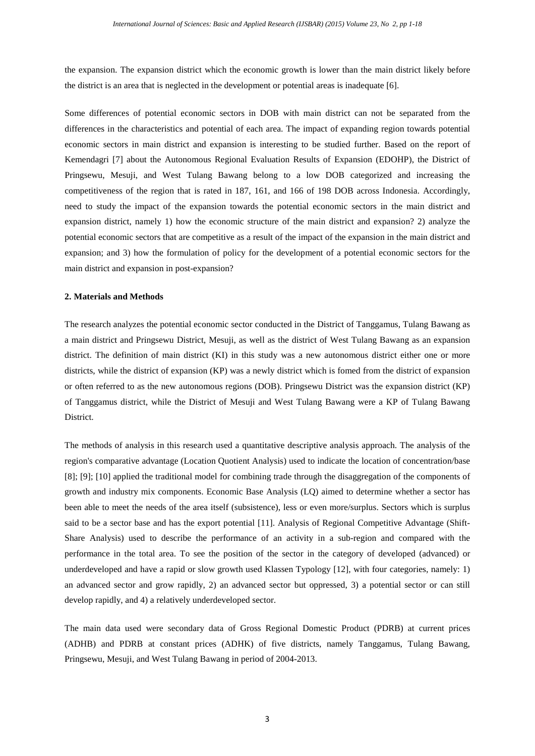the expansion. The expansion district which the economic growth is lower than the main district likely before the district is an area that is neglected in the development or potential areas is inadequate [\[6\]](#page-15-4).

Some differences of potential economic sectors in DOB with main district can not be separated from the differences in the characteristics and potential of each area. The impact of expanding region towards potential economic sectors in main district and expansion is interesting to be studied further. Based on the report of [Kemendagri \[7\]](#page-15-5) about the Autonomous Regional Evaluation Results of Expansion (EDOHP), the District of Pringsewu, Mesuji, and West Tulang Bawang belong to a low DOB categorized and increasing the competitiveness of the region that is rated in 187, 161, and 166 of 198 DOB across Indonesia. Accordingly, need to study the impact of the expansion towards the potential economic sectors in the main district and expansion district, namely 1) how the economic structure of the main district and expansion? 2) analyze the potential economic sectors that are competitive as a result of the impact of the expansion in the main district and expansion; and 3) how the formulation of policy for the development of a potential economic sectors for the main district and expansion in post-expansion?

### **2. Materials and Methods**

The research analyzes the potential economic sector conducted in the District of Tanggamus, Tulang Bawang as a main district and Pringsewu District, Mesuji, as well as the district of West Tulang Bawang as an expansion district. The definition of main district (KI) in this study was a new autonomous district either one or more districts, while the district of expansion (KP) was a newly district which is fomed from the district of expansion or often referred to as the new autonomous regions (DOB). Pringsewu District was the expansion district (KP) of Tanggamus district, while the District of Mesuji and West Tulang Bawang were a KP of Tulang Bawang District.

The methods of analysis in this research used a quantitative descriptive analysis approach. The analysis of the region's comparative advantage (Location Quotient Analysis) used to indicate the location of concentration/base [\[8\]](#page-15-6); [\[9\]](#page-15-7); [\[10\]](#page-16-0) applied the traditional model for combining trade through the disaggregation of the components of growth and industry mix components. Economic Base Analysis (LQ) aimed to determine whether a sector has been able to meet the needs of the area itself (subsistence), less or even more/surplus. Sectors which is surplus said to be a sector base and has the export potential [\[11\]](#page-16-1). Analysis of Regional Competitive Advantage (Shift-Share Analysis) used to describe the performance of an activity in a sub-region and compared with the performance in the total area. To see the position of the sector in the category of developed (advanced) or underdeveloped and have a rapid or slow growth used Klassen Typology [\[12\]](#page-16-2), with four categories, namely: 1) an advanced sector and grow rapidly, 2) an advanced sector but oppressed, 3) a potential sector or can still develop rapidly, and 4) a relatively underdeveloped sector.

The main data used were secondary data of Gross Regional Domestic Product (PDRB) at current prices (ADHB) and PDRB at constant prices (ADHK) of five districts, namely Tanggamus, Tulang Bawang, Pringsewu, Mesuji, and West Tulang Bawang in period of 2004-2013.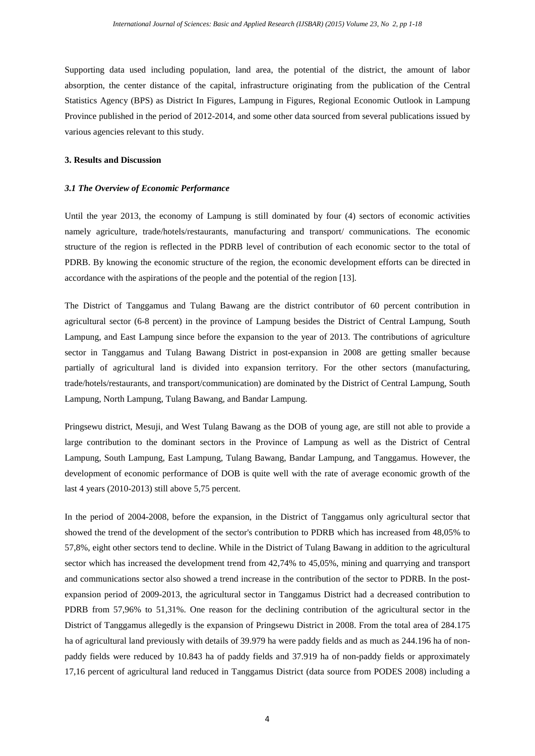Supporting data used including population, land area, the potential of the district, the amount of labor absorption, the center distance of the capital, infrastructure originating from the publication of the Central Statistics Agency (BPS) as District In Figures, Lampung in Figures, Regional Economic Outlook in Lampung Province published in the period of 2012-2014, and some other data sourced from several publications issued by various agencies relevant to this study.

## **3. Results and Discussion**

#### *3.1 The Overview of Economic Performance*

Until the year 2013, the economy of Lampung is still dominated by four (4) sectors of economic activities namely agriculture, trade/hotels/restaurants, manufacturing and transport/ communications. The economic structure of the region is reflected in the PDRB level of contribution of each economic sector to the total of PDRB. By knowing the economic structure of the region, the economic development efforts can be directed in accordance with the aspirations of the people and the potential of the region [\[13\]](#page-16-3).

The District of Tanggamus and Tulang Bawang are the district contributor of 60 percent contribution in agricultural sector (6-8 percent) in the province of Lampung besides the District of Central Lampung, South Lampung, and East Lampung since before the expansion to the year of 2013. The contributions of agriculture sector in Tanggamus and Tulang Bawang District in post-expansion in 2008 are getting smaller because partially of agricultural land is divided into expansion territory. For the other sectors (manufacturing, trade/hotels/restaurants, and transport/communication) are dominated by the District of Central Lampung, South Lampung, North Lampung, Tulang Bawang, and Bandar Lampung.

Pringsewu district, Mesuji, and West Tulang Bawang as the DOB of young age, are still not able to provide a large contribution to the dominant sectors in the Province of Lampung as well as the District of Central Lampung, South Lampung, East Lampung, Tulang Bawang, Bandar Lampung, and Tanggamus. However, the development of economic performance of DOB is quite well with the rate of average economic growth of the last 4 years (2010-2013) still above 5,75 percent.

In the period of 2004-2008, before the expansion, in the District of Tanggamus only agricultural sector that showed the trend of the development of the sector's contribution to PDRB which has increased from 48,05% to 57,8%, eight other sectors tend to decline. While in the District of Tulang Bawang in addition to the agricultural sector which has increased the development trend from 42,74% to 45,05%, mining and quarrying and transport and communications sector also showed a trend increase in the contribution of the sector to PDRB. In the postexpansion period of 2009-2013, the agricultural sector in Tanggamus District had a decreased contribution to PDRB from 57,96% to 51,31%. One reason for the declining contribution of the agricultural sector in the District of Tanggamus allegedly is the expansion of Pringsewu District in 2008. From the total area of 284.175 ha of agricultural land previously with details of 39.979 ha were paddy fields and as much as 244.196 ha of nonpaddy fields were reduced by 10.843 ha of paddy fields and 37.919 ha of non-paddy fields or approximately 17,16 percent of agricultural land reduced in Tanggamus District (data source from PODES 2008) including a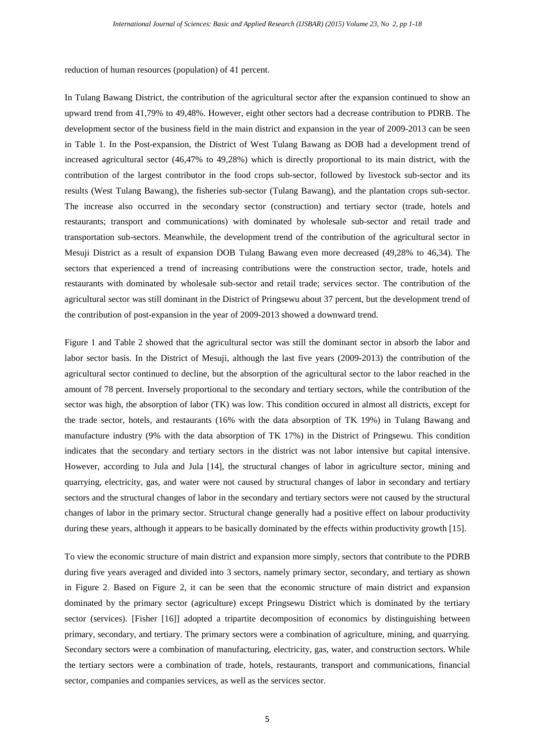reduction of human resources (population) of 41 percent.

In Tulang Bawang District, the contribution of the agricultural sector after the expansion continued to show an upward trend from 41,79% to 49,48%. However, eight other sectors had a decrease contribution to PDRB. The development sector of the business field in the main district and expansion in the year of 2009-2013 can be seen in Table 1. In the Post-expansion, the District of West Tulang Bawang as DOB had a development trend of increased agricultural sector (46,47% to 49,28%) which is directly proportional to its main district, with the contribution of the largest contributor in the food crops sub-sector, followed by livestock sub-sector and its results (West Tulang Bawang), the fisheries sub-sector (Tulang Bawang), and the plantation crops sub-sector. The increase also occurred in the secondary sector (construction) and tertiary sector (trade, hotels and restaurants; transport and communications) with dominated by wholesale sub-sector and retail trade and transportation sub-sectors. Meanwhile, the development trend of the contribution of the agricultural sector in Mesuji District as a result of expansion DOB Tulang Bawang even more decreased (49,28% to 46,34). The sectors that experienced a trend of increasing contributions were the construction sector, trade, hotels and restaurants with dominated by wholesale sub-sector and retail trade; services sector. The contribution of the agricultural sector was still dominant in the District of Pringsewu about 37 percent, but the development trend of the contribution of post-expansion in the year of 2009-2013 showed a downward trend.

Figure 1 and Table 2 showed that the agricultural sector was still the dominant sector in absorb the labor and labor sector basis. In the District of Mesuji, although the last five years (2009-2013) the contribution of the agricultural sector continued to decline, but the absorption of the agricultural sector to the labor reached in the amount of 78 percent. Inversely proportional to the secondary and tertiary sectors, while the contribution of the sector was high, the absorption of labor (TK) was low. This condition occured in almost all districts, except for the trade sector, hotels, and restaurants (16% with the data absorption of TK 19%) in Tulang Bawang and manufacture industry (9% with the data absorption of TK 17%) in the District of Pringsewu. This condition indicates that the secondary and tertiary sectors in the district was not labor intensive but capital intensive. However, according to [Jula and Jula \[14\],](#page-16-4) the structural changes of labor in agriculture sector, mining and quarrying, electricity, gas, and water were not caused by structural changes of labor in secondary and tertiary sectors and the structural changes of labor in the secondary and tertiary sectors were not caused by the structural changes of labor in the primary sector. Structural change generally had a positive effect on labour productivity during these years, although it appears to be basically dominated by the effects within productivity growth [\[15\]](#page-16-5).

To view the economic structure of main district and expansion more simply, sectors that contribute to the PDRB during five years averaged and divided into 3 sectors, namely primary sector, secondary, and tertiary as shown in Figure 2. Based on Figure 2, it can be seen that the economic structure of main district and expansion dominated by the primary sector (agriculture) except Pringsewu District which is dominated by the tertiary sector (services). [\[Fisher \[16\]\]](#page-16-6) adopted a tripartite decomposition of economics by distinguishing between primary, secondary, and tertiary. The primary sectors were a combination of agriculture, mining, and quarrying. Secondary sectors were a combination of manufacturing, electricity, gas, water, and construction sectors. While the tertiary sectors were a combination of trade, hotels, restaurants, transport and communications, financial sector, companies and companies services, as well as the services sector.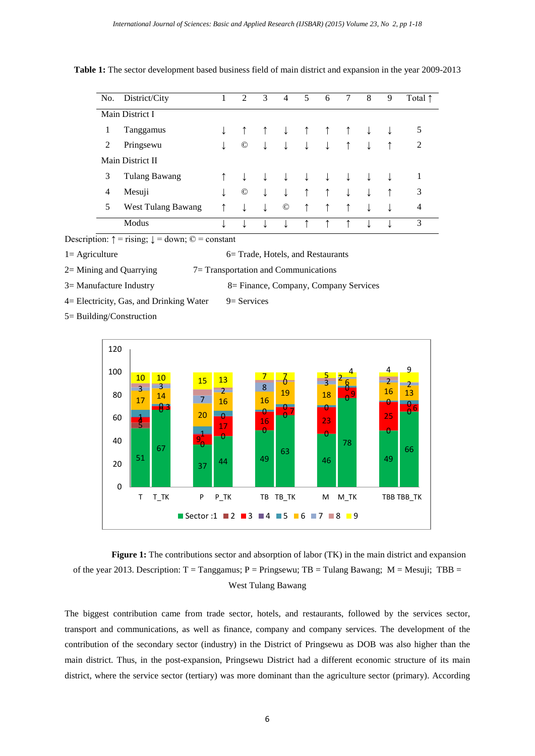| No.             | District/City           |  | 2             | 3 | $\overline{4}$ | 5 | 6 | 7 | 8 | 9 | Total $\uparrow$ |
|-----------------|-------------------------|--|---------------|---|----------------|---|---|---|---|---|------------------|
| Main District I |                         |  |               |   |                |   |   |   |   |   |                  |
| 1               | Tanggamus               |  |               |   |                |   |   |   |   |   | 5                |
| 2               | Pringsewu               |  | $^\copyright$ | ↓ |                | ↓ |   |   |   |   | 2                |
|                 | <b>Main District II</b> |  |               |   |                |   |   |   |   |   |                  |
| 3               | <b>Tulang Bawang</b>    |  |               |   |                |   |   |   |   |   | 1                |
| 4               | Mesuji                  |  | $^\copyright$ | ↓ |                | ↑ |   |   |   |   | 3                |
| 5               | West Tulang Bawang      |  |               |   | $^\copyright$  | ↑ |   |   |   | ↓ | 4                |
|                 | Modus                   |  |               |   |                |   |   |   |   |   | 3                |

**Table 1:** The sector development based business field of main district and expansion in the year 2009-2013

Description:  $\uparrow$  = rising;  $\downarrow$  = down;  $\odot$  = constant

 $1=$  Agriculture 6= Trade, Hotels, and Restaurants

 $2=$  Mining and Quarrying  $7=$  Transportation and Communications

3= Manufacture Industry 8= Finance, Company, Company Services

 $4=$  Electricity, Gas, and Drinking Water  $9=$  Services

5= Building/Construction



 **Figure 1:** The contributions sector and absorption of labor (TK) in the main district and expansion of the year 2013. Description:  $T = Tanggamus$ ;  $P = Pringsewu$ ;  $TB = Tulang Bawang$ ;  $M = Mesuji$ ;  $TBB =$ West Tulang Bawang

The biggest contribution came from trade sector, hotels, and restaurants, followed by the services sector, transport and communications, as well as finance, company and company services. The development of the contribution of the secondary sector (industry) in the District of Pringsewu as DOB was also higher than the main district. Thus, in the post-expansion, Pringsewu District had a different economic structure of its main district, where the service sector (tertiary) was more dominant than the agriculture sector (primary). According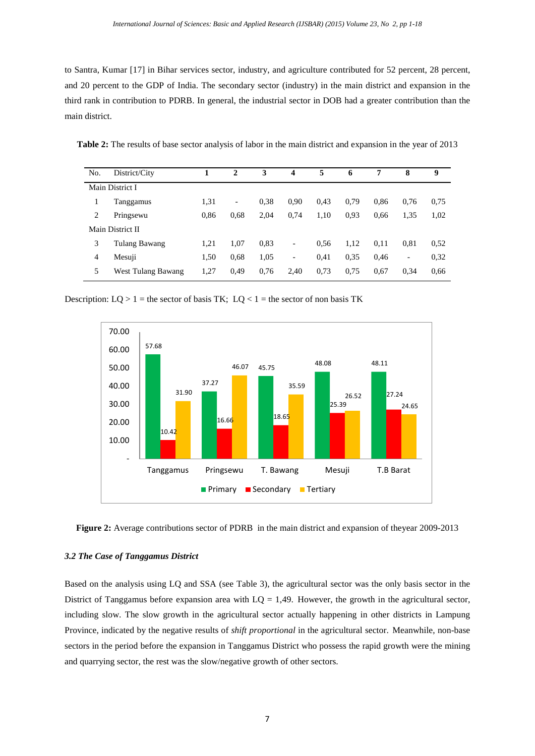to [Santra, Kumar \[17\]](#page-16-7) in Bihar services sector, industry, and agriculture contributed for 52 percent, 28 percent, and 20 percent to the GDP of India. The secondary sector (industry) in the main district and expansion in the third rank in contribution to PDRB. In general, the industrial sector in DOB had a greater contribution than the main district.

| <b>Table 2:</b> The results of base sector analysis of labor in the main district and expansion in the year of 2013 |  |  |  |  |  |  |
|---------------------------------------------------------------------------------------------------------------------|--|--|--|--|--|--|
|                                                                                                                     |  |  |  |  |  |  |

| No. | District/City      |      | $\mathbf{2}$             | 3    | 4                            | 5    | 6    | 7    | 8    | 9    |
|-----|--------------------|------|--------------------------|------|------------------------------|------|------|------|------|------|
|     | Main District I    |      |                          |      |                              |      |      |      |      |      |
|     | Tanggamus          | 1,31 | $\overline{\phantom{a}}$ | 0.38 | 0,90                         | 0,43 | 0.79 | 0,86 | 0,76 | 0.75 |
| 2   | Pringsewu          | 0.86 | 0.68                     | 2,04 | 0,74                         | 1,10 | 0.93 | 0.66 | 1,35 | 1,02 |
|     | Main District II   |      |                          |      |                              |      |      |      |      |      |
| 3   | Tulang Bawang      | 1,21 | 1,07                     | 0,83 | -                            | 0.56 | 1,12 | 0,11 | 0.81 | 0,52 |
| 4   | Mesuji             | 1,50 | 0.68                     | 1,05 | $\qquad \qquad \blacksquare$ | 0.41 | 0.35 | 0,46 | -    | 0,32 |
| 5   | West Tulang Bawang | 1,27 | 0,49                     | 0,76 | 2,40                         | 0,73 | 0.75 | 0.67 | 0,34 | 0.66 |

Description:  $LQ > 1$  = the sector of basis TK;  $LQ < 1$  = the sector of non basis TK



**Figure 2:** Average contributions sector of PDRB in the main district and expansion of theyear 2009-2013

# *3.2 The Case of Tanggamus District*

Based on the analysis using LQ and SSA (see Table 3), the agricultural sector was the only basis sector in the District of Tanggamus before expansion area with  $LQ = 1,49$ . However, the growth in the agricultural sector, including slow. The slow growth in the agricultural sector actually happening in other districts in Lampung Province, indicated by the negative results of *shift proportional* in the agricultural sector. Meanwhile, non-base sectors in the period before the expansion in Tanggamus District who possess the rapid growth were the mining and quarrying sector, the rest was the slow/negative growth of other sectors.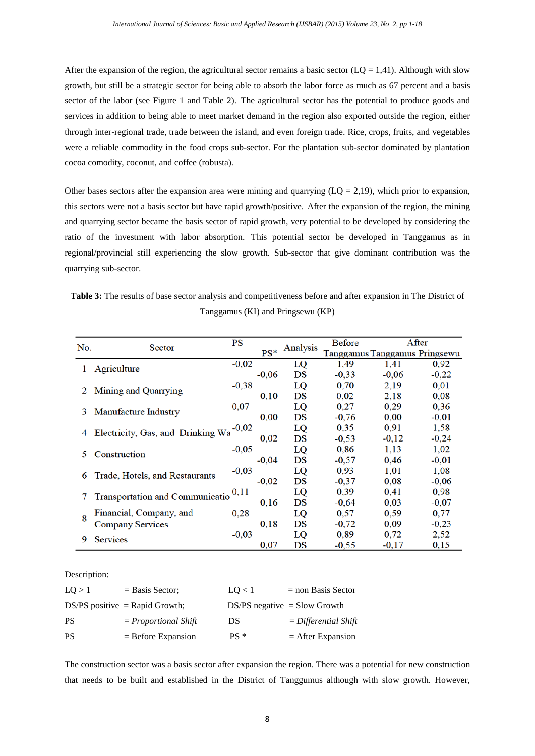After the expansion of the region, the agricultural sector remains a basic sector ( $LQ = 1,41$ ). Although with slow growth, but still be a strategic sector for being able to absorb the labor force as much as 67 percent and a basis sector of the labor (see Figure 1 and Table 2). The agricultural sector has the potential to produce goods and services in addition to being able to meet market demand in the region also exported outside the region, either through inter-regional trade, trade between the island, and even foreign trade. Rice, crops, fruits, and vegetables were a reliable commodity in the food crops sub-sector. For the plantation sub-sector dominated by plantation cocoa comodity, coconut, and coffee (robusta).

Other bases sectors after the expansion area were mining and quarrying  $(LQ = 2,19)$ , which prior to expansion, this sectors were not a basis sector but have rapid growth/positive. After the expansion of the region, the mining and quarrying sector became the basis sector of rapid growth, very potential to be developed by considering the ratio of the investment with labor absorption. This potential sector be developed in Tanggamus as in regional/provincial still experiencing the slow growth. Sub-sector that give dominant contribution was the quarrying sub-sector.

| <b>Table 3:</b> The results of base sector analysis and competitiveness before and after expansion in The District of |  |  |                                   |  |  |  |  |  |
|-----------------------------------------------------------------------------------------------------------------------|--|--|-----------------------------------|--|--|--|--|--|
|                                                                                                                       |  |  | Tanggamus (KI) and Pringsewu (KP) |  |  |  |  |  |

| No. | Sector                            | PS      |         | Analysis | <b>Before</b> |                               | After   |
|-----|-----------------------------------|---------|---------|----------|---------------|-------------------------------|---------|
|     |                                   |         | $PS^*$  |          |               | Tanggamus Tanggamus Pringsewu |         |
|     | Agriculture                       | $-0,02$ |         | LQ       | 1,49          | 1,41                          | 0,92    |
|     |                                   |         | $-0,06$ | DS       | $-0,33$       | $-0,06$                       | $-0,22$ |
|     |                                   | $-0,38$ |         | LQ       | 0,70          | 2,19                          | 0,01    |
| 2   | Mining and Quarrying              |         | $-0,10$ | DS       | 0,02          | 2,18                          | 0,08    |
|     |                                   | 0,07    |         | LQ       | 0,27          | 0,29                          | 0,36    |
| 3   | Manufacture Industry              |         | 0,00    | DS       | $-0,76$       | 0,00                          | $-0,01$ |
|     |                                   | $-0,02$ |         | LQ       | 0,35          | 0,91                          | 1,58    |
| 4   | Electricity, Gas, and Drinking Wa |         | 0,02    | DS       | $-0,53$       | $-0,12$                       | $-0,24$ |
|     |                                   | $-0,05$ |         | LQ       | 0,86          | 1,13                          | 1,02    |
| 5   | Construction                      |         | $-0,04$ | DS       | $-0,57$       | 0,46                          | $-0,01$ |
|     |                                   | $-0,03$ |         | LQ       | 0,93          | 1,01                          | 1,08    |
| 6   | Trade, Hotels, and Restaurants    |         | $-0,02$ | DS       | $-0,37$       | 0,08                          | $-0,06$ |
|     |                                   | 0,11    |         | LQ       | 0,39          | 0.41                          | 0,98    |
|     | Transportation and Communication  |         | 0,16    | DS       | $-0.64$       | 0.03                          | $-0,07$ |
|     | Financial, Company, and           | 0,28    |         | LQ       | 0.57          | 0.59                          | 0,77    |
| 8   | <b>Company Services</b>           |         | 0,18    | DS       | $-0,72$       | 0.09                          | $-0,23$ |
|     |                                   | $-0,03$ |         | LQ       | 0,89          | 0.72                          | 2,52    |
| 9   | <b>Services</b>                   |         | 0,07    | DS       | $-0,55$       | $-0.17$                       | 0,15    |

Description:

| LO > 1    | $=$ Basis Sector;                | LO < 1                         | $=$ non Basis Sector   |
|-----------|----------------------------------|--------------------------------|------------------------|
|           | $DS/PS$ positive = Rapid Growth; | $DS/PS$ negative = Slow Growth |                        |
| <b>PS</b> | $= Proportional Shift$           | DS                             | $=$ Differential Shift |
| <b>PS</b> | $=$ Before Expansion             | $PS*$                          | $=$ After Expansion    |

The construction sector was a basis sector after expansion the region. There was a potential for new construction that needs to be built and established in the District of Tanggumus although with slow growth. However,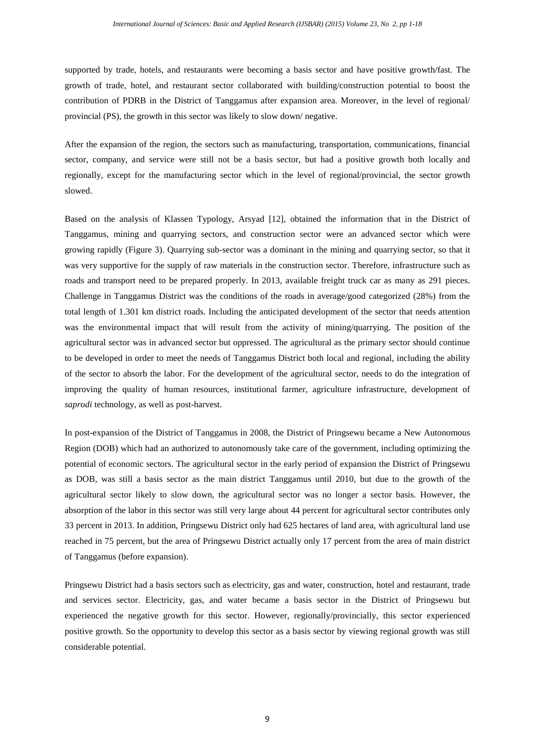supported by trade, hotels, and restaurants were becoming a basis sector and have positive growth/fast. The growth of trade, hotel, and restaurant sector collaborated with building/construction potential to boost the contribution of PDRB in the District of Tanggamus after expansion area. Moreover, in the level of regional/ provincial (PS), the growth in this sector was likely to slow down/ negative.

After the expansion of the region, the sectors such as manufacturing, transportation, communications, financial sector, company, and service were still not be a basis sector, but had a positive growth both locally and regionally, except for the manufacturing sector which in the level of regional/provincial, the sector growth slowed.

Based on the analysis of Klassen Typology, [Arsyad \[12\],](#page-16-2) obtained the information that in the District of Tanggamus, mining and quarrying sectors, and construction sector were an advanced sector which were growing rapidly (Figure 3). Quarrying sub-sector was a dominant in the mining and quarrying sector, so that it was very supportive for the supply of raw materials in the construction sector. Therefore, infrastructure such as roads and transport need to be prepared properly. In 2013, available freight truck car as many as 291 pieces. Challenge in Tanggamus District was the conditions of the roads in average/good categorized (28%) from the total length of 1.301 km district roads. Including the anticipated development of the sector that needs attention was the environmental impact that will result from the activity of mining/quarrying. The position of the agricultural sector was in advanced sector but oppressed. The agricultural as the primary sector should continue to be developed in order to meet the needs of Tanggamus District both local and regional, including the ability of the sector to absorb the labor. For the development of the agricultural sector, needs to do the integration of improving the quality of human resources, institutional farmer, agriculture infrastructure, development of *saprodi* technology, as well as post-harvest.

In post-expansion of the District of Tanggamus in 2008, the District of Pringsewu became a New Autonomous Region (DOB) which had an authorized to autonomously take care of the government, including optimizing the potential of economic sectors. The agricultural sector in the early period of expansion the District of Pringsewu as DOB, was still a basis sector as the main district Tanggamus until 2010, but due to the growth of the agricultural sector likely to slow down, the agricultural sector was no longer a sector basis. However, the absorption of the labor in this sector was still very large about 44 percent for agricultural sector contributes only 33 percent in 2013. In addition, Pringsewu District only had 625 hectares of land area, with agricultural land use reached in 75 percent, but the area of Pringsewu District actually only 17 percent from the area of main district of Tanggamus (before expansion).

Pringsewu District had a basis sectors such as electricity, gas and water, construction, hotel and restaurant, trade and services sector. Electricity, gas, and water became a basis sector in the District of Pringsewu but experienced the negative growth for this sector. However, regionally/provincially, this sector experienced positive growth. So the opportunity to develop this sector as a basis sector by viewing regional growth was still considerable potential.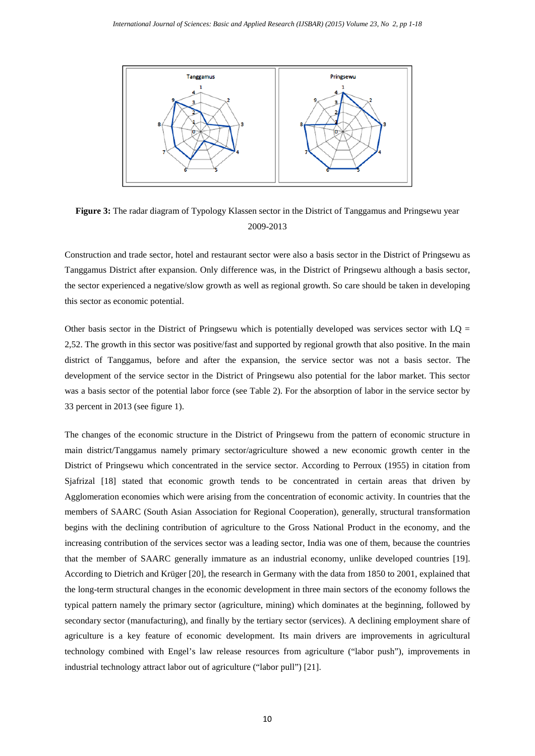

**Figure 3:** The radar diagram of Typology Klassen sector in the District of Tanggamus and Pringsewu year 2009-2013

Construction and trade sector, hotel and restaurant sector were also a basis sector in the District of Pringsewu as Tanggamus District after expansion. Only difference was, in the District of Pringsewu although a basis sector, the sector experienced a negative/slow growth as well as regional growth. So care should be taken in developing this sector as economic potential.

Other basis sector in the District of Pringsewu which is potentially developed was services sector with  $LO =$ 2,52. The growth in this sector was positive/fast and supported by regional growth that also positive. In the main district of Tanggamus, before and after the expansion, the service sector was not a basis sector. The development of the service sector in the District of Pringsewu also potential for the labor market. This sector was a basis sector of the potential labor force (see Table 2). For the absorption of labor in the service sector by 33 percent in 2013 (see figure 1).

The changes of the economic structure in the District of Pringsewu from the pattern of economic structure in main district/Tanggamus namely primary sector/agriculture showed a new economic growth center in the District of Pringsewu which concentrated in the service sector. According to Perroux (1955) in citation from [Sjafrizal \[18\]](#page-16-8) stated that economic growth tends to be concentrated in certain areas that driven by Agglomeration economies which were arising from the concentration of economic activity. In countries that the members of SAARC (South Asian Association for Regional Cooperation), generally, structural transformation begins with the declining contribution of agriculture to the Gross National Product in the economy, and the increasing contribution of the services sector was a leading sector, India was one of them, because the countries that the member of SAARC generally immature as an industrial economy, unlike developed countries [\[19\]](#page-16-9). According to [Dietrich and Krüger \[20\],](#page-16-10) the research in Germany with the data from 1850 to 2001, explained that the long-term structural changes in the economic development in three main sectors of the economy follows the typical pattern namely the primary sector (agriculture, mining) which dominates at the beginning, followed by secondary sector (manufacturing), and finally by the tertiary sector (services). A declining employment share of agriculture is a key feature of economic development. Its main drivers are improvements in agricultural technology combined with Engel's law release resources from agriculture ("labor push"), improvements in industrial technology attract labor out of agriculture ("labor pull") [\[21\]](#page-16-11).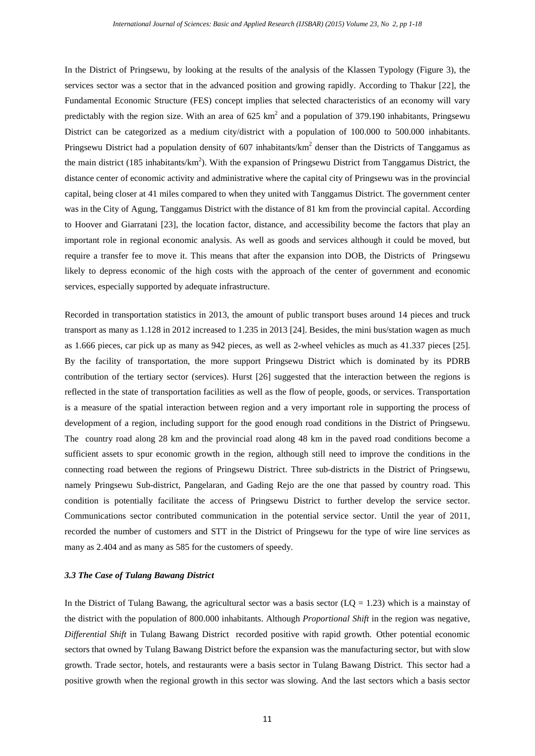In the District of Pringsewu, by looking at the results of the analysis of the Klassen Typology (Figure 3), the services sector was a sector that in the advanced position and growing rapidly. According to [Thakur \[22\],](#page-16-12) the Fundamental Economic Structure (FES) concept implies that selected characteristics of an economy will vary predictably with the region size. With an area of 625 km<sup>2</sup> and a population of 379.190 inhabitants, Pringsewu District can be categorized as a medium city/district with a population of 100.000 to 500.000 inhabitants. Pringsewu District had a population density of 607 inhabitants/ $km^2$  denser than the Districts of Tanggamus as the main district (185 inhabitants/ $km^2$ ). With the expansion of Pringsewu District from Tanggamus District, the distance center of economic activity and administrative where the capital city of Pringsewu was in the provincial capital, being closer at 41 miles compared to when they united with Tanggamus District. The government center was in the City of Agung, Tanggamus District with the distance of 81 km from the provincial capital. According to [Hoover and Giarratani \[23\],](#page-16-13) the location factor, distance, and accessibility become the factors that play an important role in regional economic analysis. As well as goods and services although it could be moved, but require a transfer fee to move it. This means that after the expansion into DOB, the Districts of Pringsewu likely to depress economic of the high costs with the approach of the center of government and economic services, especially supported by adequate infrastructure.

Recorded in transportation statistics in 2013, the amount of public transport buses around 14 pieces and truck transport as many as 1.128 in 2012 increased to 1.235 in 2013 [\[24\]](#page-16-14). Besides, the mini bus/station wagen as much as 1.666 pieces, car pick up as many as 942 pieces, as well as 2-wheel vehicles as much as 41.337 pieces [\[25\]](#page-16-15). By the facility of transportation, the more support Pringsewu District which is dominated by its PDRB contribution of the tertiary sector (services). [Hurst \[26\]](#page-17-0) suggested that the interaction between the regions is reflected in the state of transportation facilities as well as the flow of people, goods, or services. Transportation is a measure of the spatial interaction between region and a very important role in supporting the process of development of a region, including support for the good enough road conditions in the District of Pringsewu. The country road along 28 km and the provincial road along 48 km in the paved road conditions become a sufficient assets to spur economic growth in the region, although still need to improve the conditions in the connecting road between the regions of Pringsewu District. Three sub-districts in the District of Pringsewu, namely Pringsewu Sub-district, Pangelaran, and Gading Rejo are the one that passed by country road. This condition is potentially facilitate the access of Pringsewu District to further develop the service sector. Communications sector contributed communication in the potential service sector. Until the year of 2011, recorded the number of customers and STT in the District of Pringsewu for the type of wire line services as many as 2.404 and as many as 585 for the customers of speedy.

# *3.3 The Case of Tulang Bawang District*

In the District of Tulang Bawang, the agricultural sector was a basis sector ( $LQ = 1.23$ ) which is a mainstay of the district with the population of 800.000 inhabitants. Although *Proportional Shift* in the region was negative, *Differential Shift* in Tulang Bawang District recorded positive with rapid growth. Other potential economic sectors that owned by Tulang Bawang District before the expansion was the manufacturing sector, but with slow growth. Trade sector, hotels, and restaurants were a basis sector in Tulang Bawang District. This sector had a positive growth when the regional growth in this sector was slowing. And the last sectors which a basis sector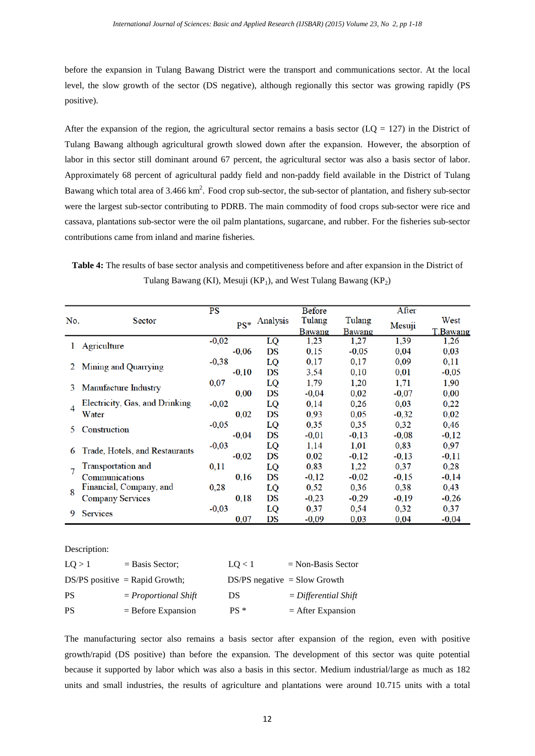before the expansion in Tulang Bawang District were the transport and communications sector. At the local level, the slow growth of the sector (DS negative), although regionally this sector was growing rapidly (PS positive).

After the expansion of the region, the agricultural sector remains a basis sector ( $LQ = 127$ ) in the District of Tulang Bawang although agricultural growth slowed down after the expansion. However, the absorption of labor in this sector still dominant around 67 percent, the agricultural sector was also a basis sector of labor. Approximately 68 percent of agricultural paddy field and non-paddy field available in the District of Tulang Bawang which total area of 3.466  $km^2$ . Food crop sub-sector, the sub-sector of plantation, and fishery sub-sector were the largest sub-sector contributing to PDRB. The main commodity of food crops sub-sector were rice and cassava, plantations sub-sector were the oil palm plantations, sugarcane, and rubber. For the fisheries sub-sector contributions came from inland and marine fisheries.

**Table 4:** The results of base sector analysis and competitiveness before and after expansion in the District of Tulang Bawang (KI), Mesuji (KP<sub>1</sub>), and West Tulang Bawang (KP<sub>2</sub>)

|     |                                | PS      |         |          | Before        |         | After   |                 |
|-----|--------------------------------|---------|---------|----------|---------------|---------|---------|-----------------|
| No. | Sector                         |         | $PS^*$  | Analysis | Tulang        | Tulang  |         | West            |
|     |                                |         |         |          | <b>Bawang</b> | Bawang  | Mesuji  | <u>T.Bawang</u> |
|     | Agriculture                    | $-0,02$ |         | LQ       | 1,23          | 1,27    | 1,39    | 1,26            |
|     |                                |         | $-0.06$ | DS       | 0.15          | $-0.05$ | 0,04    | 0.03            |
| 2   | Mining and Quarrying           | $-0,38$ |         | LQ       | 0,17          | 0,17    | 0.09    | 0,11            |
|     |                                |         | $-0,10$ | DS       | 3,54          | 0,10    | 0.01    | $-0,05$         |
| 3   | Manufacture Industry           | 0,07    |         | LQ       | 1,79          | 1,20    | 1,71    | 1,90            |
|     |                                |         | 0.00    | DS       | $-0.04$       | 0.02    | $-0.07$ | 0.00            |
| 4   | Electricity, Gas, and Drinking | $-0.02$ |         | LQ       | 0.14          | 0.26    | 0.03    | 0,22            |
|     | Water                          |         | 0,02    | DS       | 0.93          | 0.05    | $-0,32$ | 0,02            |
| 5   | Construction                   | $-0.05$ |         | LQ       | 0,35          | 0,35    | 0,32    | 0,46            |
|     |                                |         | $-0.04$ | DS       | $-0.01$       | $-0,13$ | $-0,08$ | $-0,12$         |
|     | Trade, Hotels, and Restaurants | $-0.03$ |         | LQ       | 1.14          | 1.01    | 0.83    | 0,97            |
| 6   |                                |         | $-0.02$ | DS       | 0.02          | $-0.12$ | $-0.13$ | $-0.11$         |
| 7   | Transportation and             | 0,11    |         | LQ       | 0,83          | 1,22    | 0,37    | 0,28            |
|     | Communications                 |         | 0.16    | DS       | $-0.12$       | $-0.02$ | $-0.15$ | $-0.14$         |
| 8   | Financial, Company, and        | 0,28    |         | LQ       | 0.52          | 0.36    | 0.38    | 0,43            |
|     | <b>Company Services</b>        |         | 0.18    | DS       | $-0.23$       | $-0.29$ | $-0.19$ | $-0.26$         |
| 9   |                                | $-0.03$ |         | LQ       | 0,37          | 0,54    | 0,32    | 0,37            |
|     | <b>Services</b>                |         | 0,07    | DS       | $-0.09$       | 0.03    | 0,04    | $-0.04$         |

Description:

| LO > 1 | $=$ Basis Sector;                | LO < 1                         | $=$ Non-Basis Sector   |
|--------|----------------------------------|--------------------------------|------------------------|
|        | $DS/PS$ positive = Rapid Growth; | $DS/PS$ negative = Slow Growth |                        |
| PS     | $= Proportional Shift$           | DS                             | $=$ Differential Shift |
| PS     | $=$ Before Expansion             | $PS*$                          | $=$ After Expansion    |

The manufacturing sector also remains a basis sector after expansion of the region, even with positive growth/rapid (DS positive) than before the expansion. The development of this sector was quite potential because it supported by labor which was also a basis in this sector. Medium industrial/large as much as 182 units and small industries, the results of agriculture and plantations were around 10.715 units with a total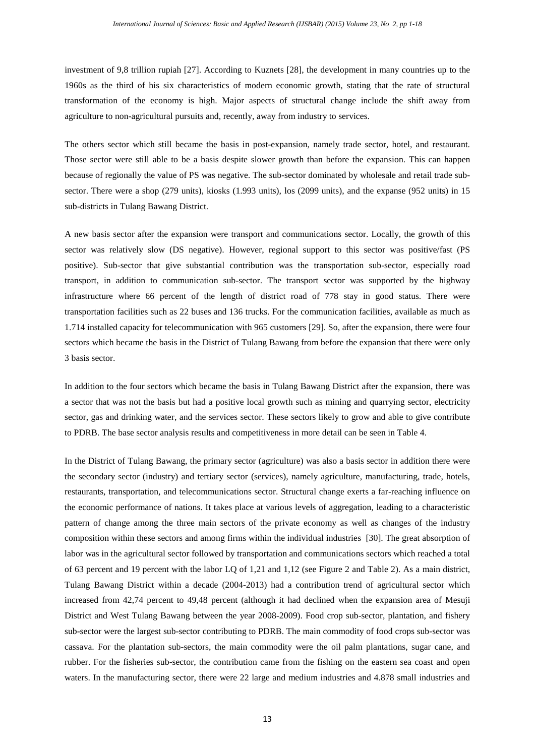investment of 9,8 trillion rupiah [\[27\]](#page-17-1). According to [Kuznets \[28\],](#page-17-2) the development in many countries up to the 1960s as the third of his six characteristics of modern economic growth, stating that the rate of structural transformation of the economy is high. Major aspects of structural change include the shift away from agriculture to non-agricultural pursuits and, recently, away from industry to services.

The others sector which still became the basis in post-expansion, namely trade sector, hotel, and restaurant. Those sector were still able to be a basis despite slower growth than before the expansion. This can happen because of regionally the value of PS was negative. The sub-sector dominated by wholesale and retail trade subsector. There were a shop (279 units), kiosks (1.993 units), los (2099 units), and the expanse (952 units) in 15 sub-districts in Tulang Bawang District.

A new basis sector after the expansion were transport and communications sector. Locally, the growth of this sector was relatively slow (DS negative). However, regional support to this sector was positive/fast (PS positive). Sub-sector that give substantial contribution was the transportation sub-sector, especially road transport, in addition to communication sub-sector. The transport sector was supported by the highway infrastructure where 66 percent of the length of district road of 778 stay in good status. There were transportation facilities such as 22 buses and 136 trucks. For the communication facilities, available as much as 1.714 installed capacity for telecommunication with 965 customers [\[29\]](#page-17-3). So, after the expansion, there were four sectors which became the basis in the District of Tulang Bawang from before the expansion that there were only 3 basis sector.

In addition to the four sectors which became the basis in Tulang Bawang District after the expansion, there was a sector that was not the basis but had a positive local growth such as mining and quarrying sector, electricity sector, gas and drinking water, and the services sector. These sectors likely to grow and able to give contribute to PDRB. The base sector analysis results and competitiveness in more detail can be seen in Table 4.

In the District of Tulang Bawang, the primary sector (agriculture) was also a basis sector in addition there were the secondary sector (industry) and tertiary sector (services), namely agriculture, manufacturing, trade, hotels, restaurants, transportation, and telecommunications sector. Structural change exerts a far-reaching influence on the economic performance of nations. It takes place at various levels of aggregation, leading to a characteristic pattern of change among the three main sectors of the private economy as well as changes of the industry composition within these sectors and among firms within the individual industries [\[30\]](#page-17-4). The great absorption of labor was in the agricultural sector followed by transportation and communications sectors which reached a total of 63 percent and 19 percent with the labor LQ of 1,21 and 1,12 (see Figure 2 and Table 2). As a main district, Tulang Bawang District within a decade (2004-2013) had a contribution trend of agricultural sector which increased from 42,74 percent to 49,48 percent (although it had declined when the expansion area of Mesuji District and West Tulang Bawang between the year 2008-2009). Food crop sub-sector, plantation, and fishery sub-sector were the largest sub-sector contributing to PDRB. The main commodity of food crops sub-sector was cassava. For the plantation sub-sectors, the main commodity were the oil palm plantations, sugar cane, and rubber. For the fisheries sub-sector, the contribution came from the fishing on the eastern sea coast and open waters. In the manufacturing sector, there were 22 large and medium industries and 4.878 small industries and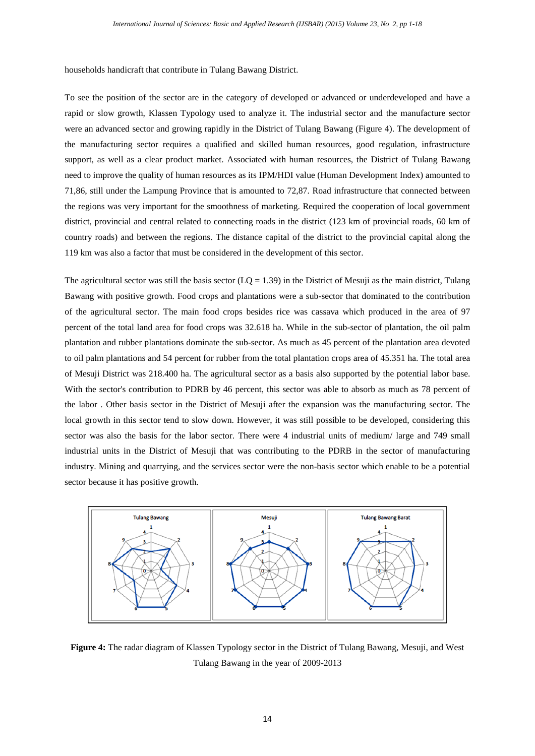households handicraft that contribute in Tulang Bawang District.

To see the position of the sector are in the category of developed or advanced or underdeveloped and have a rapid or slow growth, Klassen Typology used to analyze it. The industrial sector and the manufacture sector were an advanced sector and growing rapidly in the District of Tulang Bawang (Figure 4). The development of the manufacturing sector requires a qualified and skilled human resources, good regulation, infrastructure support, as well as a clear product market. Associated with human resources, the District of Tulang Bawang need to improve the quality of human resources as its IPM/HDI value (Human Development Index) amounted to 71,86, still under the Lampung Province that is amounted to 72,87. Road infrastructure that connected between the regions was very important for the smoothness of marketing. Required the cooperation of local government district, provincial and central related to connecting roads in the district (123 km of provincial roads, 60 km of country roads) and between the regions. The distance capital of the district to the provincial capital along the 119 km was also a factor that must be considered in the development of this sector.

The agricultural sector was still the basis sector ( $LQ = 1.39$ ) in the District of Mesuji as the main district, Tulang Bawang with positive growth. Food crops and plantations were a sub-sector that dominated to the contribution of the agricultural sector. The main food crops besides rice was cassava which produced in the area of 97 percent of the total land area for food crops was 32.618 ha. While in the sub-sector of plantation, the oil palm plantation and rubber plantations dominate the sub-sector. As much as 45 percent of the plantation area devoted to oil palm plantations and 54 percent for rubber from the total plantation crops area of 45.351 ha. The total area of Mesuji District was 218.400 ha. The agricultural sector as a basis also supported by the potential labor base. With the sector's contribution to PDRB by 46 percent, this sector was able to absorb as much as 78 percent of the labor . Other basis sector in the District of Mesuji after the expansion was the manufacturing sector. The local growth in this sector tend to slow down. However, it was still possible to be developed, considering this sector was also the basis for the labor sector. There were 4 industrial units of medium/ large and 749 small industrial units in the District of Mesuji that was contributing to the PDRB in the sector of manufacturing industry. Mining and quarrying, and the services sector were the non-basis sector which enable to be a potential sector because it has positive growth.



**Figure 4:** The radar diagram of Klassen Typology sector in the District of Tulang Bawang, Mesuji, and West Tulang Bawang in the year of 2009-2013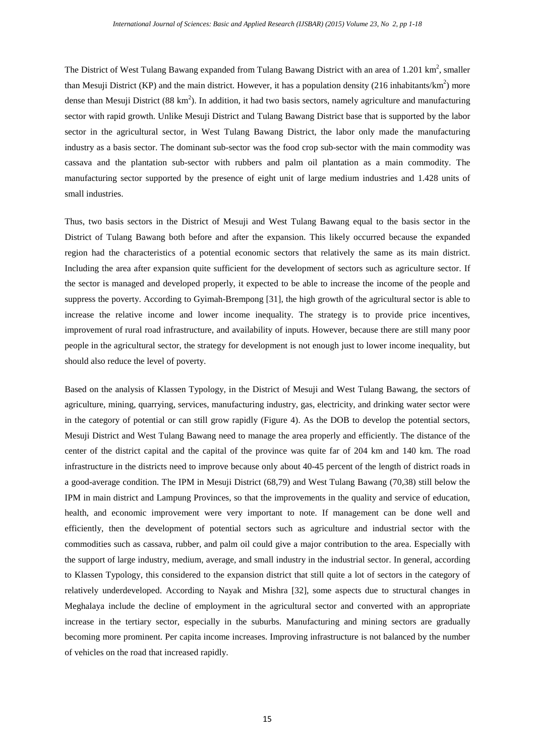The District of West Tulang Bawang expanded from Tulang Bawang District with an area of 1.201  $\text{km}^2$ , smaller than Mesuji District (KP) and the main district. However, it has a population density (216 inhabitants/ $km^2$ ) more dense than Mesuji District (88 km<sup>2</sup>). In addition, it had two basis sectors, namely agriculture and manufacturing sector with rapid growth. Unlike Mesuji District and Tulang Bawang District base that is supported by the labor sector in the agricultural sector, in West Tulang Bawang District, the labor only made the manufacturing industry as a basis sector. The dominant sub-sector was the food crop sub-sector with the main commodity was cassava and the plantation sub-sector with rubbers and palm oil plantation as a main commodity. The manufacturing sector supported by the presence of eight unit of large medium industries and 1.428 units of small industries.

Thus, two basis sectors in the District of Mesuji and West Tulang Bawang equal to the basis sector in the District of Tulang Bawang both before and after the expansion. This likely occurred because the expanded region had the characteristics of a potential economic sectors that relatively the same as its main district. Including the area after expansion quite sufficient for the development of sectors such as agriculture sector. If the sector is managed and developed properly, it expected to be able to increase the income of the people and suppress the poverty. According to [Gyimah-Brempong \[31\],](#page-17-5) the high growth of the agricultural sector is able to increase the relative income and lower income inequality. The strategy is to provide price incentives, improvement of rural road infrastructure, and availability of inputs. However, because there are still many poor people in the agricultural sector, the strategy for development is not enough just to lower income inequality, but should also reduce the level of poverty.

Based on the analysis of Klassen Typology, in the District of Mesuji and West Tulang Bawang, the sectors of agriculture, mining, quarrying, services, manufacturing industry, gas, electricity, and drinking water sector were in the category of potential or can still grow rapidly (Figure 4). As the DOB to develop the potential sectors, Mesuji District and West Tulang Bawang need to manage the area properly and efficiently. The distance of the center of the district capital and the capital of the province was quite far of 204 km and 140 km. The road infrastructure in the districts need to improve because only about 40-45 percent of the length of district roads in a good-average condition. The IPM in Mesuji District (68,79) and West Tulang Bawang (70,38) still below the IPM in main district and Lampung Provinces, so that the improvements in the quality and service of education, health, and economic improvement were very important to note. If management can be done well and efficiently, then the development of potential sectors such as agriculture and industrial sector with the commodities such as cassava, rubber, and palm oil could give a major contribution to the area. Especially with the support of large industry, medium, average, and small industry in the industrial sector. In general, according to Klassen Typology, this considered to the expansion district that still quite a lot of sectors in the category of relatively underdeveloped. According to [Nayak and Mishra \[32\],](#page-17-6) some aspects due to structural changes in Meghalaya include the decline of employment in the agricultural sector and converted with an appropriate increase in the tertiary sector, especially in the suburbs. Manufacturing and mining sectors are gradually becoming more prominent. Per capita income increases. Improving infrastructure is not balanced by the number of vehicles on the road that increased rapidly.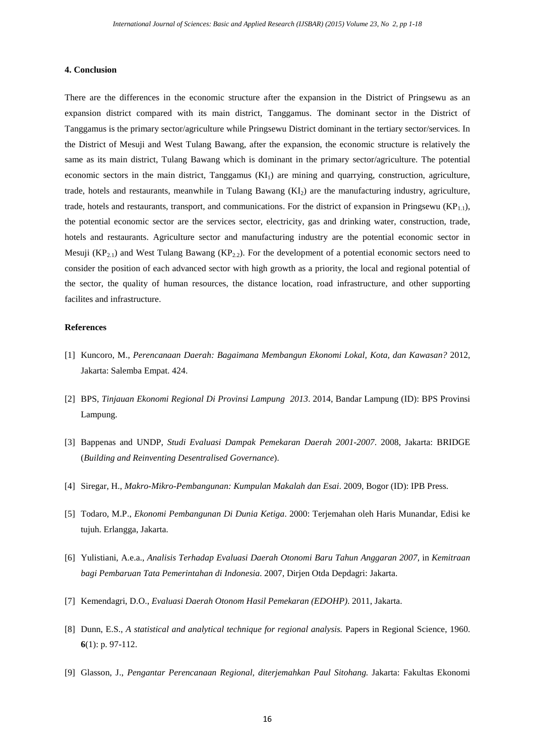## **4. Conclusion**

There are the differences in the economic structure after the expansion in the District of Pringsewu as an expansion district compared with its main district, Tanggamus. The dominant sector in the District of Tanggamus is the primary sector/agriculture while Pringsewu District dominant in the tertiary sector/services. In the District of Mesuji and West Tulang Bawang, after the expansion, the economic structure is relatively the same as its main district, Tulang Bawang which is dominant in the primary sector/agriculture. The potential economic sectors in the main district, Tanggamus  $(KI<sub>1</sub>)$  are mining and quarrying, construction, agriculture, trade, hotels and restaurants, meanwhile in Tulang Bawang  $(KI<sub>2</sub>)$  are the manufacturing industry, agriculture, trade, hotels and restaurants, transport, and communications. For the district of expansion in Pringsewu ( $KP_{1,1}$ ), the potential economic sector are the services sector, electricity, gas and drinking water, construction, trade, hotels and restaurants. Agriculture sector and manufacturing industry are the potential economic sector in Mesuji  $(KP_{2,1})$  and West Tulang Bawang  $(KP_{2,2})$ . For the development of a potential economic sectors need to consider the position of each advanced sector with high growth as a priority, the local and regional potential of the sector, the quality of human resources, the distance location, road infrastructure, and other supporting facilites and infrastructure.

## **References**

- <span id="page-15-0"></span>[1] Kuncoro, M., *Perencanaan Daerah: Bagaimana Membangun Ekonomi Lokal, Kota, dan Kawasan?* 2012, Jakarta: Salemba Empat. 424.
- <span id="page-15-1"></span>[2] BPS, *Tinjauan Ekonomi Regional Di Provinsi Lampung 2013*. 2014, Bandar Lampung (ID): BPS Provinsi Lampung.
- [3] Bappenas and UNDP, *Studi Evaluasi Dampak Pemekaran Daerah 2001-2007*. 2008, Jakarta: BRIDGE (*Building and Reinventing Desentralised Governance*).
- <span id="page-15-2"></span>[4] Siregar, H., *Makro-Mikro-Pembangunan: Kumpulan Makalah dan Esai*. 2009, Bogor (ID): IPB Press.
- <span id="page-15-3"></span>[5] Todaro, M.P., *Ekonomi Pembangunan Di Dunia Ketiga*. 2000: Terjemahan oleh Haris Munandar, Edisi ke tujuh. Erlangga, Jakarta.
- <span id="page-15-4"></span>[6] Yulistiani, A.e.a., *Analisis Terhadap Evaluasi Daerah Otonomi Baru Tahun Anggaran 2007*, in *Kemitraan bagi Pembaruan Tata Pemerintahan di Indonesia*. 2007, Dirjen Otda Depdagri: Jakarta.
- <span id="page-15-5"></span>[7] Kemendagri, D.O., *Evaluasi Daerah Otonom Hasil Pemekaran (EDOHP)*. 2011, Jakarta.
- <span id="page-15-6"></span>[8] Dunn, E.S., *A statistical and analytical technique for regional analysis.* Papers in Regional Science, 1960. **6**(1): p. 97-112.
- <span id="page-15-7"></span>[9] Glasson, J., *Pengantar Perencanaan Regional, diterjemahkan Paul Sitohang.* Jakarta: Fakultas Ekonomi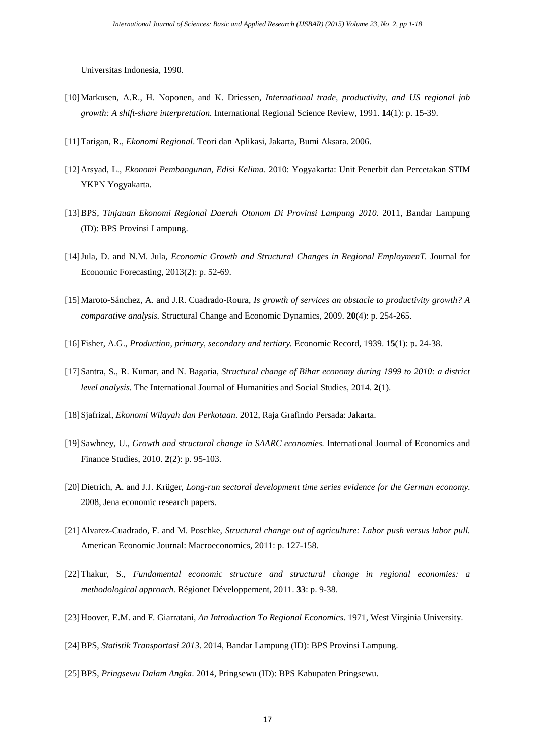Universitas Indonesia, 1990.

- <span id="page-16-0"></span>[10]Markusen, A.R., H. Noponen, and K. Driessen, *International trade, productivity, and US regional job growth: A shift-share interpretation.* International Regional Science Review, 1991. **14**(1): p. 15-39.
- <span id="page-16-1"></span>[11]Tarigan, R., *Ekonomi Regional*. Teori dan Aplikasi, Jakarta, Bumi Aksara. 2006.
- <span id="page-16-2"></span>[12]Arsyad, L., *Ekonomi Pembangunan, Edisi Kelima*. 2010: Yogyakarta: Unit Penerbit dan Percetakan STIM YKPN Yogyakarta.
- <span id="page-16-3"></span>[13]BPS, *Tinjauan Ekonomi Regional Daerah Otonom Di Provinsi Lampung 2010*. 2011, Bandar Lampung (ID): BPS Provinsi Lampung.
- <span id="page-16-4"></span>[14]Jula, D. and N.M. Jula, *Economic Growth and Structural Changes in Regional EmploymenT.* Journal for Economic Forecasting, 2013(2): p. 52-69.
- <span id="page-16-5"></span>[15]Maroto-Sánchez, A. and J.R. Cuadrado-Roura, *Is growth of services an obstacle to productivity growth? A comparative analysis.* Structural Change and Economic Dynamics, 2009. **20**(4): p. 254-265.
- <span id="page-16-6"></span>[16]Fisher, A.G., *Production, primary, secondary and tertiary.* Economic Record, 1939. **15**(1): p. 24-38.
- <span id="page-16-7"></span>[17]Santra, S., R. Kumar, and N. Bagaria, *Structural change of Bihar economy during 1999 to 2010: a district level analysis.* The International Journal of Humanities and Social Studies, 2014. **2**(1).
- <span id="page-16-8"></span>[18]Sjafrizal, *Ekonomi Wilayah dan Perkotaan*. 2012, Raja Grafindo Persada: Jakarta.
- <span id="page-16-9"></span>[19]Sawhney, U., *Growth and structural change in SAARC economies.* International Journal of Economics and Finance Studies, 2010. **2**(2): p. 95-103.
- <span id="page-16-10"></span>[20]Dietrich, A. and J.J. Krüger, *Long-run sectoral development time series evidence for the German economy*. 2008, Jena economic research papers.
- <span id="page-16-11"></span>[21]Alvarez-Cuadrado, F. and M. Poschke, *Structural change out of agriculture: Labor push versus labor pull.* American Economic Journal: Macroeconomics, 2011: p. 127-158.
- <span id="page-16-12"></span>[22]Thakur, S., *Fundamental economic structure and structural change in regional economies: a methodological approach.* Régionet Développement, 2011. **33**: p. 9-38.
- <span id="page-16-13"></span>[23]Hoover, E.M. and F. Giarratani, *An Introduction To Regional Economics*. 1971, West Virginia University.
- <span id="page-16-14"></span>[24]BPS, *Statistik Transportasi 2013*. 2014, Bandar Lampung (ID): BPS Provinsi Lampung.
- <span id="page-16-15"></span>[25]BPS, *Pringsewu Dalam Angka*. 2014, Pringsewu (ID): BPS Kabupaten Pringsewu.